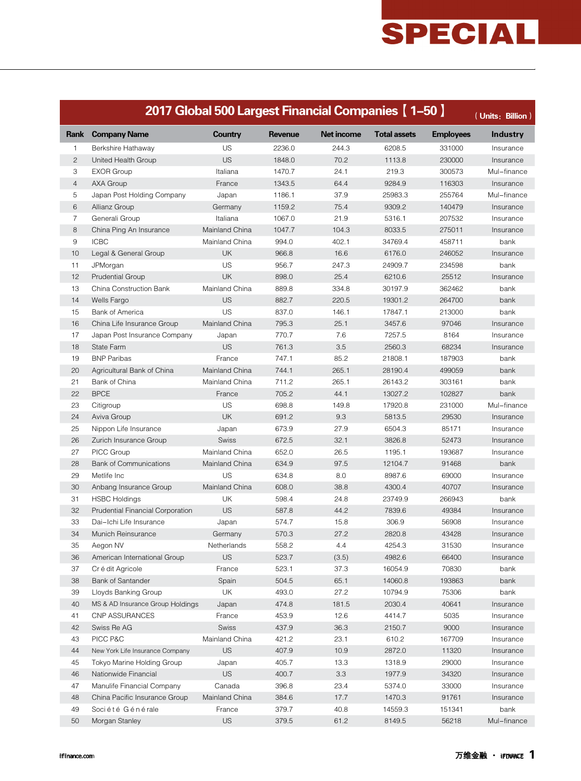|                | 2017 Global 500 Largest Financial Companies [ 1-50 ]<br>(Units: Billion) |                |         |                   |                     |                  |                 |  |  |  |
|----------------|--------------------------------------------------------------------------|----------------|---------|-------------------|---------------------|------------------|-----------------|--|--|--|
| Rank           | <b>Company Name</b>                                                      | Country        | Revenue | <b>Net income</b> | <b>Total assets</b> | <b>Employees</b> | <b>Industry</b> |  |  |  |
| 1              | Berkshire Hathaway                                                       | US             | 2236.0  | 244.3             | 6208.5              | 331000           | Insurance       |  |  |  |
| $\mathbf{2}$   | United Health Group                                                      | <b>US</b>      | 1848.0  | 70.2              | 1113.8              | 230000           | Insurance       |  |  |  |
| 3              | <b>EXOR Group</b>                                                        | Italiana       | 1470.7  | 24.1              | 219.3               | 300573           | Mul-finance     |  |  |  |
| $\overline{4}$ | AXA Group                                                                | France         | 1343.5  | 64.4              | 9284.9              | 116303           | Insurance       |  |  |  |
| 5              | Japan Post Holding Company                                               | Japan          | 1186.1  | 37.9              | 25983.3             | 255764           | Mul-finance     |  |  |  |
| 6              | Allianz Group                                                            | Germany        | 1159.2  | 75.4              | 9309.2              | 140479           | Insurance       |  |  |  |
| $\overline{7}$ | Generali Group                                                           | Italiana       | 1067.0  | 21.9              | 5316.1              | 207532           | Insurance       |  |  |  |
| 8              | China Ping An Insurance                                                  | Mainland China | 1047.7  | 104.3             | 8033.5              | 275011           | Insurance       |  |  |  |
| $9\,$          | <b>ICBC</b>                                                              | Mainland China | 994.0   | 402.1             | 34769.4             | 458711           | bank            |  |  |  |
| 10             | Legal & General Group                                                    | <b>UK</b>      | 966.8   | 16.6              | 6176.0              | 246052           | Insurance       |  |  |  |
| 11             | JPMorgan                                                                 | US             | 956.7   | 247.3             | 24909.7             | 234598           | bank            |  |  |  |
| 12             | <b>Prudential Group</b>                                                  | UK             | 898.0   | 25.4              | 6210.6              | 25512            | Insurance       |  |  |  |
| 13             | China Construction Bank                                                  | Mainland China | 889.8   | 334.8             | 30197.9             | 362462           | bank            |  |  |  |
| 14             | Wells Fargo                                                              | <b>US</b>      | 882.7   | 220.5             | 19301.2             | 264700           | bank            |  |  |  |
| 15             | <b>Bank of America</b>                                                   | US             | 837.0   | 146.1             | 17847.1             | 213000           | bank            |  |  |  |
| 16             | China Life Insurance Group                                               | Mainland China | 795.3   | 25.1              | 3457.6              | 97046            | Insurance       |  |  |  |
| 17             | Japan Post Insurance Company                                             | Japan          | 770.7   | 7.6               | 7257.5              | 8164             | Insurance       |  |  |  |
| 18             | State Farm                                                               | <b>US</b>      | 761.3   | 3.5               | 2560.3              | 68234            | Insurance       |  |  |  |
| 19             | <b>BNP Paribas</b>                                                       | France         | 747.1   | 85.2              | 21808.1             | 187903           | bank            |  |  |  |
| 20             | Agricultural Bank of China                                               | Mainland China | 744.1   | 265.1             | 28190.4             | 499059           | bank            |  |  |  |
| 21             | Bank of China                                                            | Mainland China | 711.2   | 265.1             | 26143.2             | 303161           | bank            |  |  |  |
| 22             | <b>BPCE</b>                                                              | France         | 705.2   | 44.1              | 13027.2             | 102827           | bank            |  |  |  |
| 23             | Citigroup                                                                | US             | 698.8   | 149.8             | 17920.8             | 231000           | Mul-finance     |  |  |  |
| 24             | Aviva Group                                                              | UK             | 691.2   | 9.3               | 5813.5              | 29530            | Insurance       |  |  |  |
| 25             | Nippon Life Insurance                                                    | Japan          | 673.9   | 27.9              | 6504.3              | 85171            | Insurance       |  |  |  |
| 26             | Zurich Insurance Group                                                   | <b>Swiss</b>   | 672.5   | 32.1              | 3826.8              | 52473            | Insurance       |  |  |  |
| 27             | PICC Group                                                               | Mainland China | 652.0   | 26.5              | 1195.1              | 193687           | Insurance       |  |  |  |
| 28             | <b>Bank of Communications</b>                                            | Mainland China | 634.9   | 97.5              | 12104.7             | 91468            | bank            |  |  |  |
| 29             | Metlife Inc                                                              | US             | 634.8   | 8.0               | 8987.6              | 69000            | Insurance       |  |  |  |
| 30             | Anbang Insurance Group                                                   | Mainland China | 608.0   | 38.8              | 4300.4              | 40707            | Insurance       |  |  |  |
| 31             | <b>HSBC Holdings</b>                                                     | UK             | 598.4   | 24.8              | 23749.9             | 266943           | bank            |  |  |  |
| 32             | Prudential Financial Corporation                                         | <b>US</b>      | 587.8   | 44.2              | 7839.6              | 49384            | Insurance       |  |  |  |
| 33             | Dai-Ichi Life Insurance                                                  | Japan          | 574.7   | 15.8              | 306.9               | 56908            | Insurance       |  |  |  |
| 34             | Munich Reinsurance                                                       | Germany        | 570.3   | 27.2              | 2820.8              | 43428            | Insurance       |  |  |  |
| 35             | Aegon NV                                                                 | Netherlands    | 558.2   | 4.4               | 4254.3              | 31530            | Insurance       |  |  |  |
| 36             | American International Group                                             | <b>US</b>      | 523.7   | (3.5)             | 4982.6              | 66400            | Insurance       |  |  |  |
| 37             | Cr é dit Agricole                                                        | France         | 523.1   | 37.3              | 16054.9             | 70830            | bank            |  |  |  |
| 38             | Bank of Santander                                                        | Spain          | 504.5   | 65.1              | 14060.8             | 193863           | bank            |  |  |  |
| 39             | Lloyds Banking Group                                                     | UK             | 493.0   | 27.2              | 10794.9             | 75306            | bank            |  |  |  |
| 40             | MS & AD Insurance Group Holdings                                         | Japan          | 474.8   | 181.5             | 2030.4              | 40641            | Insurance       |  |  |  |
| 41             | CNP ASSURANCES                                                           | France         | 453.9   | 12.6              | 4414.7              | 5035             | Insurance       |  |  |  |
| 42             | Swiss Re AG                                                              | Swiss          | 437.9   | 36.3              | 2150.7              | 9000             | Insurance       |  |  |  |
| 43             | PICC P&C                                                                 | Mainland China | 421.2   | 23.1              | 610.2               | 167709           | Insurance       |  |  |  |
| 44             | New York Life Insurance Company                                          | <b>US</b>      | 407.9   | 10.9              | 2872.0              | 11320            | Insurance       |  |  |  |
| 45             | Tokyo Marine Holding Group                                               | Japan          | 405.7   | 13.3              | 1318.9              | 29000            | Insurance       |  |  |  |
| 46             | Nationwide Financial                                                     | <b>US</b>      | 400.7   | 3.3               | 1977.9              | 34320            | Insurance       |  |  |  |
| 47             | Manulife Financial Company                                               | Canada         | 396.8   | 23.4              | 5374.0              | 33000            | Insurance       |  |  |  |
| 48             | China Pacific Insurance Group                                            | Mainland China | 384.6   | 17.7              | 1470.3              | 91761            | Insurance       |  |  |  |
| 49             | Société Générale                                                         | France         | 379.7   | 40.8              | 14559.3             | 151341           | bank            |  |  |  |
| 50             | Morgan Stanley                                                           | US             | 379.5   | 61.2              | 8149.5              | 56218            | Mul-finance     |  |  |  |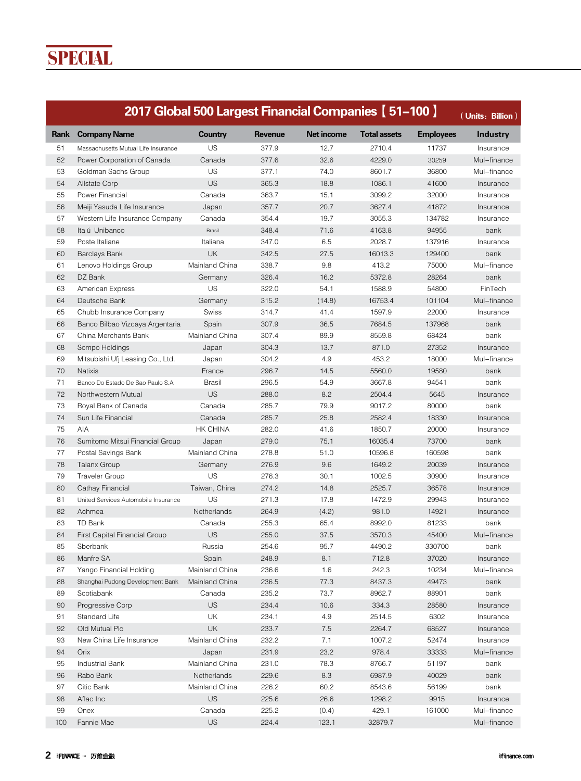|      |                                      | 2017 Global 500 Largest Financial Companies [ 51-100 ] |                |                   |                     |                  | (Units: Billion) |
|------|--------------------------------------|--------------------------------------------------------|----------------|-------------------|---------------------|------------------|------------------|
| Rank | <b>Company Name</b>                  | <b>Country</b>                                         | <b>Revenue</b> | <b>Net income</b> | <b>Total assets</b> | <b>Employees</b> | <b>Industry</b>  |
| 51   | Massachusetts Mutual Life Insurance  | US                                                     | 377.9          | 12.7              | 2710.4              | 11737            | Insurance        |
| 52   | Power Corporation of Canada          | Canada                                                 | 377.6          | 32.6              | 4229.0              | 30259            | Mul-finance      |
| 53   | Goldman Sachs Group                  | US                                                     | 377.1          | 74.0              | 8601.7              | 36800            | Mul-finance      |
| 54   | <b>Allstate Corp</b>                 | <b>US</b>                                              | 365.3          | 18.8              | 1086.1              | 41600            | Insurance        |
| 55   | Power Financial                      | Canada                                                 | 363.7          | 15.1              | 3099.2              | 32000            | Insurance        |
| 56   | Meiji Yasuda Life Insurance          | Japan                                                  | 357.7          | 20.7              | 3627.4              | 41872            | Insurance        |
| 57   | Western Life Insurance Company       | Canada                                                 | 354.4          | 19.7              | 3055.3              | 134782           | Insurance        |
| 58   | Ita ú Unibanco                       | Brasil                                                 | 348.4          | 71.6              | 4163.8              | 94955            | bank             |
| 59   | Poste Italiane                       | Italiana                                               | 347.0          | 6.5               | 2028.7              | 137916           | Insurance        |
| 60   | <b>Barclays Bank</b>                 | <b>UK</b>                                              | 342.5          | 27.5              | 16013.3             | 129400           | bank             |
| 61   | Lenovo Holdings Group                | Mainland China                                         | 338.7          | 9.8               | 413.2               | 75000            | Mul-finance      |
| 62   | DZ Bank                              | Germany                                                | 326.4          | 16.2              | 5372.8              | 28264            | bank             |
| 63   | American Express                     | US                                                     | 322.0          | 54.1              | 1588.9              | 54800            | FinTech          |
| 64   | Deutsche Bank                        | Germany                                                | 315.2          | (14.8)            | 16753.4             | 101104           | Mul-finance      |
| 65   | Chubb Insurance Company              | Swiss                                                  | 314.7          | 41.4              | 1597.9              | 22000            | Insurance        |
| 66   | Banco Bilbao Vizcaya Argentaria      | Spain                                                  | 307.9          | 36.5              | 7684.5              | 137968           | bank             |
| 67   | China Merchants Bank                 | Mainland China                                         | 307.4          | 89.9              | 8559.8              | 68424            | bank             |
| 68   | Sompo Holdings                       | Japan                                                  | 304.3          | 13.7              | 871.0               | 27352            | Insurance        |
| 69   | Mitsubishi Ufj Leasing Co., Ltd.     | Japan                                                  | 304.2          | 4.9               | 453.2               | 18000            | Mul-finance      |
| 70   | <b>Natixis</b>                       | France                                                 | 296.7          | 14.5              | 5560.0              | 19580            | bank             |
| 71   | Banco Do Estado De Sao Paulo S.A     | <b>Brasil</b>                                          | 296.5          | 54.9              | 3667.8              | 94541            | bank             |
| 72   | Northwestern Mutual                  | <b>US</b>                                              | 288.0          | 8.2               | 2504.4              | 5645             | Insurance        |
| 73   | Royal Bank of Canada                 | Canada                                                 | 285.7          | 79.9              | 9017.2              | 80000            | bank             |
| 74   | Sun Life Financial                   | Canada                                                 | 285.7          | 25.8              | 2582.4              | 18330            | Insurance        |
| 75   | AIA                                  | <b>HK CHINA</b>                                        | 282.0          | 41.6              | 1850.7              | 20000            | Insurance        |
| 76   | Sumitomo Mitsui Financial Group      | Japan                                                  | 279.0          | 75.1              | 16035.4             | 73700            | bank             |
| 77   | Postal Savings Bank                  | Mainland China                                         | 278.8          | 51.0              | 10596.8             | 160598           | bank             |
| 78   |                                      |                                                        | 276.9          | 9.6               | 1649.2              | 20039            |                  |
| 79   | <b>Talanx Group</b>                  | Germany<br>US                                          | 276.3          | 30.1              | 1002.5              | 30900            | Insurance        |
| 80   | <b>Traveler Group</b>                |                                                        | 274.2          |                   | 2525.7              |                  | Insurance        |
|      | Cathay Financial                     | Taiwan, China                                          |                | 14.8              |                     | 36578            | Insurance        |
| 81   | United Services Automobile Insurance | US                                                     | 271.3          | 17.8              | 1472.9              | 29943            | Insurance        |
| 82   | Achmea                               | Netherlands                                            | 264.9          | (4.2)             | 981.0               | 14921            | Insurance        |
| 83   | TD Bank                              | Canada<br><b>US</b>                                    | 255.3          | 65.4              | 8992.0              | 81233            | bank             |
| 84   | First Capital Financial Group        |                                                        | 255.0          | 37.5              | 3570.3              | 45400            | Mul-finance      |
| 85   | Sberbank                             | Russia                                                 | 254.6          | 95.7              | 4490.2              | 330700           | bank             |
| 86   | Manfre SA                            | Spain                                                  | 248.9          | 8.1               | 712.8               | 37020            | Insurance        |
| 87   | Yango Financial Holding              | Mainland China                                         | 236.6          | 1.6               | 242.3               | 10234            | Mul-finance      |
| 88   | Shanghai Pudong Development Bank     | Mainland China                                         | 236.5          | 77.3              | 8437.3              | 49473            | bank             |
| 89   | Scotiabank                           | Canada                                                 | 235.2          | 73.7              | 8962.7              | 88901            | bank             |
| 90   | Progressive Corp                     | <b>US</b>                                              | 234.4          | 10.6              | 334.3               | 28580            | Insurance        |
| 91   | Standard Life                        | UK                                                     | 234.1          | 4.9               | 2514.5              | 6302             | Insurance        |
| 92   | Old Mutual Plc                       | UK                                                     | 233.7          | 7.5               | 2264.7              | 68527            | Insurance        |
| 93   | New China Life Insurance             | Mainland China                                         | 232.2          | 7.1               | 1007.2              | 52474            | Insurance        |
| 94   | Orix                                 | Japan                                                  | 231.9          | 23.2              | 978.4               | 33333            | Mul-finance      |
| 95   | Industrial Bank                      | Mainland China                                         | 231.0          | 78.3              | 8766.7              | 51197            | bank             |
| 96   | Rabo Bank                            | Netherlands                                            | 229.6          | 8.3               | 6987.9              | 40029            | bank             |
| 97   | Citic Bank                           | Mainland China                                         | 226.2          | 60.2              | 8543.6              | 56199            | bank             |
| 98   | Aflac Inc                            | <b>US</b>                                              | 225.6          | 26.6              | 1298.2              | 9915             | Insurance        |
| 99   | Onex                                 | Canada                                                 | 225.2          | (0.4)             | 429.1               | 161000           | Mul-finance      |
| 100  | Fannie Mae                           | <b>US</b>                                              | 224.4          | 123.1             | 32879.7             |                  | Mul-finance      |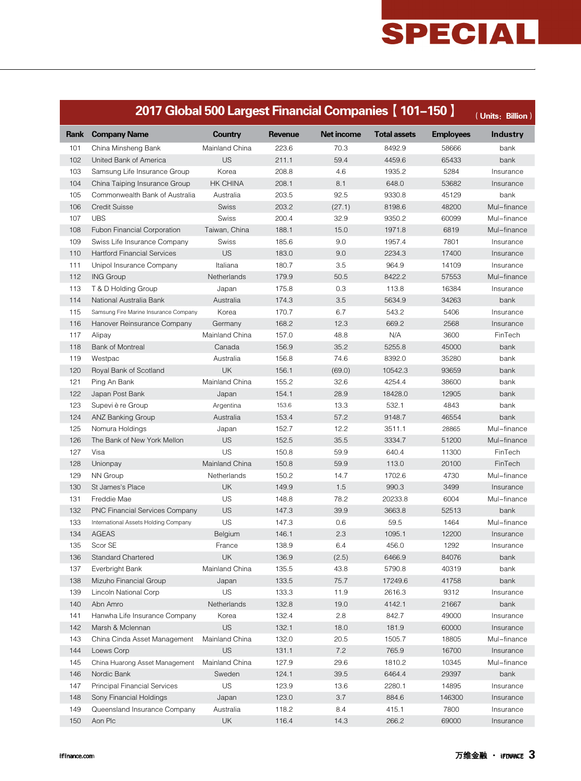|            | 2017 Global 500 Largest Financial Companies [ 101-150 ] |                   |                |                   |                     |                  | (Units: Billion) |
|------------|---------------------------------------------------------|-------------------|----------------|-------------------|---------------------|------------------|------------------|
| Rank       | <b>Company Name</b>                                     | <b>Country</b>    | <b>Revenue</b> | <b>Net income</b> | <b>Total assets</b> | <b>Employees</b> | <b>Industry</b>  |
| 101        | China Minsheng Bank                                     | Mainland China    | 223.6          | 70.3              | 8492.9              | 58666            | bank             |
| 102        | United Bank of America                                  | US                | 211.1          | 59.4              | 4459.6              | 65433            | bank             |
| 103        | Samsung Life Insurance Group                            | Korea             | 208.8          | 4.6               | 1935.2              | 5284             | Insurance        |
| 104        | China Taiping Insurance Group                           | <b>HK CHINA</b>   | 208.1          | 8.1               | 648.0               | 53682            | Insurance        |
| 105        | Commonwealth Bank of Australia                          | Australia         | 203.5          | 92.5              | 9330.8              | 45129            | bank             |
| 106        | <b>Credit Suisse</b>                                    | <b>Swiss</b>      | 203.2          | (27.1)            | 8198.6              | 48200            | Mul-finance      |
| 107        | <b>UBS</b>                                              | <b>Swiss</b>      | 200.4          | 32.9              | 9350.2              | 60099            | Mul-finance      |
| 108        | Fubon Financial Corporation                             | Taiwan, China     | 188.1          | 15.0              | 1971.8              | 6819             | Mul-finance      |
| 109        | Swiss Life Insurance Company                            | Swiss             | 185.6          | 9.0               | 1957.4              | 7801             | Insurance        |
| 110        | <b>Hartford Financial Services</b>                      | US                | 183.0          | 9.0               | 2234.3              | 17400            | Insurance        |
| 111        | Unipol Insurance Company                                | Italiana          | 180.7          | 3.5               | 964.9               | 14109            | Insurance        |
| 112        | <b>ING Group</b>                                        | Netherlands       | 179.9          | 50.5              | 8422.2              | 57553            | Mul-finance      |
| 113        | T & D Holding Group                                     | Japan             | 175.8          | 0.3               | 113.8               | 16384            | Insurance        |
| 114        | National Australia Bank                                 | Australia         | 174.3          | 3.5               | 5634.9              | 34263            | bank             |
| 115        | Samsung Fire Marine Insurance Company                   | Korea             | 170.7          | 6.7               | 543.2               | 5406             | Insurance        |
| 116        | Hanover Reinsurance Company                             | Germany           | 168.2          | 12.3              | 669.2               | 2568             | Insurance        |
| 117        | Alipay                                                  | Mainland China    | 157.0          | 48.8              | N/A                 | 3600             | FinTech          |
| 118        | <b>Bank of Montreal</b>                                 | Canada            | 156.9          | 35.2              | 5255.8              | 45000            | bank             |
| 119        | Westpac                                                 | Australia         | 156.8          | 74.6              | 8392.0              | 35280            | bank             |
| 120        | Royal Bank of Scotland                                  | UK                | 156.1          | (69.0)            | 10542.3             | 93659            | bank             |
| 121        | Ping An Bank                                            | Mainland China    | 155.2          | 32.6              | 4254.4              | 38600            | bank             |
| 122        | Japan Post Bank                                         | Japan             | 154.1          | 28.9              | 18428.0             | 12905            | bank             |
| 123        | Supevi è re Group                                       | Argentina         | 153.6          | 13.3              | 532.1               | 4843             | bank             |
| 124        | <b>ANZ Banking Group</b>                                | Australia         | 153.4          | 57.2              | 9148.7              | 46554            | bank             |
| 125        | Nomura Holdings                                         | Japan             | 152.7          | 12.2              | 3511.1              | 28865            | Mul-finance      |
| 126        | The Bank of New York Mellon                             | US                | 152.5          | 35.5              | 3334.7              | 51200            | Mul-finance      |
| 127        | Visa                                                    | US                | 150.8          | 59.9              | 640.4               | 11300            | FinTech          |
| 128        | Unionpay                                                | Mainland China    | 150.8          | 59.9              | 113.0               | 20100            | FinTech          |
| 129        | NN Group                                                | Netherlands       | 150.2          | 14.7              | 1702.6              | 4730             | Mul-finance      |
| 130        | St James's Place                                        | <b>UK</b>         | 149.9          | 1.5               | 990.3               | 3499             | Insurance        |
| 131        | Freddie Mae                                             | US                | 148.8          | 78.2              | 20233.8             | 6004             | Mul-finance      |
| 132        | <b>PNC Financial Services Company</b>                   | US                | 147.3          | 39.9              | 3663.8              | 52513            | bank             |
| 133        | International Assets Holding Company                    | US                | 147.3          | 0.6               | 59.5                | 1464             | Mul-finance      |
| 134        | <b>AGEAS</b>                                            | Belgium           | 146.1          | 2.3               | 1095.1              | 12200            | Insurance        |
| 135        | Scor SE                                                 | France            | 138.9          | 6.4               | 456.0               | 1292             | Insurance        |
|            |                                                         | UK                | 136.9          |                   |                     |                  |                  |
| 136<br>137 | Standard Chartered                                      | Mainland China    | 135.5          | (2.5)             | 6466.9              | 84076<br>40319   | bank             |
|            | Everbright Bank<br>Mizuho Financial Group               |                   |                | 43.8              | 5790.8              |                  | bank             |
| 138        |                                                         | Japan             | 133.5          | 75.7              | 17249.6             | 41758            | bank             |
| 139        | Lincoln National Corp<br>Abn Amro                       | US<br>Netherlands | 133.3          | 11.9              | 2616.3              | 9312             | Insurance        |
| 140        |                                                         |                   | 132.8          | 19.0              | 4142.1              | 21667            | bank             |
| 141        | Hanwha Life Insurance Company                           | Korea             | 132.4          | 2.8               | 842.7               | 49000            | Insurance        |
| 142        | Marsh & Mclennan                                        | <b>US</b>         | 132.1          | 18.0              | 181.9               | 60000            | Insurance        |
| 143        | China Cinda Asset Management                            | Mainland China    | 132.0          | 20.5              | 1505.7              | 18805            | Mul-finance      |
| 144        | Loews Corp                                              | US                | 131.1          | 7.2               | 765.9               | 16700            | Insurance        |
| 145        | China Huarong Asset Management                          | Mainland China    | 127.9          | 29.6              | 1810.2              | 10345            | Mul-finance      |
| 146        | Nordic Bank                                             | Sweden            | 124.1          | 39.5              | 6464.4              | 29397            | bank             |
| 147        | <b>Principal Financial Services</b>                     | US                | 123.9          | 13.6              | 2280.1              | 14895            | Insurance        |
| 148        | Sony Financial Holdings                                 | Japan             | 123.0          | 3.7               | 884.6               | 146300           | Insurance        |
| 149        | Queensland Insurance Company                            | Australia         | 118.2          | 8.4               | 415.1               | 7800             | Insurance        |
| 150        | Aon Plc                                                 | UK                | 116.4          | 14.3              | 266.2               | 69000            | Insurance        |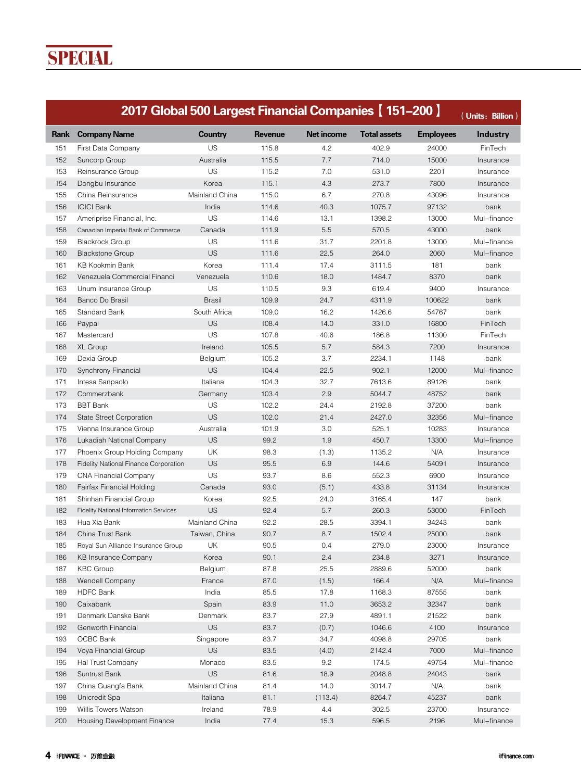|      | 2017 Global 500 Largest Financial Companies [ 151-200 ] |                |         |                   |                     |                  | (Units: Billion) |
|------|---------------------------------------------------------|----------------|---------|-------------------|---------------------|------------------|------------------|
| Rank | <b>Company Name</b>                                     | <b>Country</b> | Revenue | <b>Net income</b> | <b>Total assets</b> | <b>Employees</b> | <b>Industry</b>  |
| 151  | First Data Company                                      | US             | 115.8   | 4.2               | 402.9               | 24000            | FinTech          |
| 152  | Suncorp Group                                           | Australia      | 115.5   | 7.7               | 714.0               | 15000            | Insurance        |
| 153  | Reinsurance Group                                       | US             | 115.2   | 7.0               | 531.0               | 2201             | Insurance        |
| 154  | Dongbu Insurance                                        | Korea          | 115.1   | 4.3               | 273.7               | 7800             | Insurance        |
| 155  | China Reinsurance                                       | Mainland China | 115.0   | 6.7               | 270.8               | 43096            | Insurance        |
| 156  | <b>ICICI Bank</b>                                       | India          | 114.6   | 40.3              | 1075.7              | 97132            | bank             |
| 157  | Ameriprise Financial, Inc.                              | US             | 114.6   | 13.1              | 1398.2              | 13000            | Mul-finance      |
| 158  | Canadian Imperial Bank of Commerce                      | Canada         | 111.9   | 5.5               | 570.5               | 43000            | bank             |
| 159  | <b>Blackrock Group</b>                                  | US             | 111.6   | 31.7              | 2201.8              | 13000            | Mul-finance      |
| 160  | <b>Blackstone Group</b>                                 | <b>US</b>      | 111.6   | 22.5              | 264.0               | 2060             | Mul-finance      |
| 161  | KB Kookmin Bank                                         | Korea          | 111.4   | 17.4              | 3111.5              | 181              | bank             |
| 162  | Venezuela Commercial Financi                            | Venezuela      | 110.6   | 18.0              | 1484.7              | 8370             | bank             |
| 163  | Unum Insurance Group                                    | US             | 110.5   | 9.3               | 619.4               | 9400             | Insurance        |
| 164  | Banco Do Brasil                                         | <b>Brasil</b>  | 109.9   | 24.7              | 4311.9              | 100622           | bank             |
| 165  | <b>Standard Bank</b>                                    | South Africa   | 109.0   | 16.2              | 1426.6              | 54767            | bank             |
| 166  | Paypal                                                  | <b>US</b>      | 108.4   | 14.0              | 331.0               | 16800            | FinTech          |
| 167  | Mastercard                                              | US             | 107.8   | 40.6              | 186.8               | 11300            | FinTech          |
| 168  | XL Group                                                | Ireland        | 105.5   | 5.7               | 584.3               | 7200             | Insurance        |
| 169  | Dexia Group                                             | Belgium        | 105.2   | 3.7               | 2234.1              | 1148             | bank             |
| 170  | Synchrony Financial                                     | <b>US</b>      | 104.4   | 22.5              | 902.1               | 12000            | Mul-finance      |
| 171  | Intesa Sanpaolo                                         | Italiana       | 104.3   | 32.7              | 7613.6              | 89126            | bank             |
| 172  | Commerzbank                                             | Germany        | 103.4   | 2.9               | 5044.7              | 48752            | bank             |
| 173  | <b>BBT Bank</b>                                         | US             | 102.2   | 24.4              | 2192.8              | 37200            | bank             |
| 174  | <b>State Street Corporation</b>                         | <b>US</b>      | 102.0   | 21.4              | 2427.0              | 32356            | Mul-finance      |
| 175  | Vienna Insurance Group                                  | Australia      | 101.9   | 3.0               | 525.1               | 10283            | Insurance        |
| 176  | Lukadiah National Company                               | <b>US</b>      | 99.2    | 1.9               | 450.7               | 13300            | Mul-finance      |
| 177  | Phoenix Group Holding Company                           | UK             | 98.3    | (1.3)             | 1135.2              | N/A              | Insurance        |
| 178  | Fidelity National Finance Corporation                   | <b>US</b>      | 95.5    | 6.9               | 144.6               | 54091            | Insurance        |
| 179  | <b>CNA Financial Company</b>                            | US             | 93.7    | 8.6               | 552.3               | 6900             | Insurance        |
| 180  | Fairfax Financial Holding                               | Canada         | 93.0    | (5.1)             | 433.8               | 31134            | Insurance        |
| 181  | Shinhan Financial Group                                 | Korea          | 92.5    | 24.0              | 3165.4              | 147              | bank             |
| 182  | Fidelity National Information Services                  | <b>US</b>      | 92.4    | 5.7               | 260.3               | 53000            | FinTech          |
| 183  | Hua Xia Bank                                            | Mainland China | 92.2    | 28.5              | 3394.1              | 34243            | bank             |
| 184  | China Trust Bank                                        | Taiwan, China  | 90.7    | 8.7               | 1502.4              | 25000            | bank             |
| 185  | Royal Sun Alliance Insurance Group                      | UK             | 90.5    | 0.4               | 279.0               | 23000            | Insurance        |
| 186  | <b>KB Insurance Company</b>                             | Korea          | 90.1    | 2.4               | 234.8               | 3271             | Insurance        |
| 187  | <b>KBC Group</b>                                        | Belgium        | 87.8    | 25.5              | 2889.6              | 52000            | bank             |
| 188  | Wendell Company                                         | France         | 87.0    | (1.5)             | 166.4               | N/A              | Mul-finance      |
| 189  | <b>HDFC Bank</b>                                        | India          | 85.5    | 17.8              | 1168.3              | 87555            | bank             |
| 190  | Caixabank                                               | Spain          | 83.9    | 11.0              | 3653.2              | 32347            | bank             |
| 191  | Denmark Danske Bank                                     | Denmark        | 83.7    | 27.9              | 4891.1              | 21522            | bank             |
| 192  | Genworth Financial                                      | <b>US</b>      | 83.7    |                   |                     |                  | Insurance        |
|      | OCBC Bank                                               | Singapore      | 83.7    | (0.7)<br>34.7     | 1046.6<br>4098.8    | 4100<br>29705    | bank             |
| 193  |                                                         | <b>US</b>      |         |                   | 2142.4              |                  |                  |
| 194  | Voya Financial Group                                    |                | 83.5    | (4.0)             |                     | 7000             | Mul-finance      |
| 195  | Hal Trust Company                                       | Monaco<br>US   | 83.5    | 9.2               | 174.5               | 49754            | Mul-finance      |
| 196  | Suntrust Bank                                           |                | 81.6    | 18.9              | 2048.8              | 24043            | bank             |
| 197  | China Guangfa Bank                                      | Mainland China | 81.4    | 14.0              | 3014.7              | N/A              | bank             |
| 198  | Unicredit Spa                                           | Italiana       | 81.1    | (113.4)           | 8264.7              | 45237            | bank             |
| 199  | Willis Towers Watson                                    | Ireland        | 78.9    | 4.4               | 302.5               | 23700            | Insurance        |
| 200  | Housing Development Finance                             | India          | 77.4    | 15.3              | 596.5               | 2196             | Mul-finance      |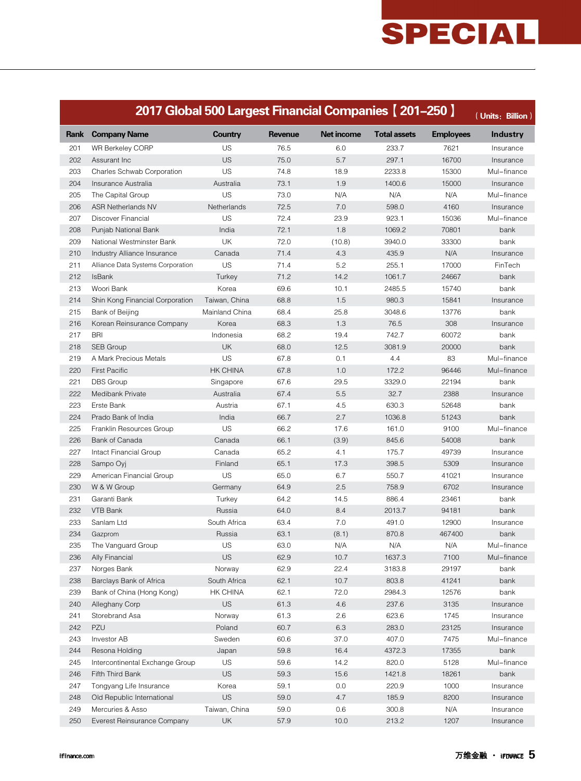|            | 2017 Global 500 Largest Financial Companies [201-250] |                 |                |                   |                     |                  | (Units: Billion) |
|------------|-------------------------------------------------------|-----------------|----------------|-------------------|---------------------|------------------|------------------|
| Rank       | <b>Company Name</b>                                   | <b>Country</b>  | <b>Revenue</b> | <b>Net income</b> | <b>Total assets</b> | <b>Employees</b> | <b>Industry</b>  |
| 201        | WR Berkeley CORP                                      | US              | 76.5           | 6.0               | 233.7               | 7621             | Insurance        |
| 202        | Assurant Inc                                          | US              | 75.0           | 5.7               | 297.1               | 16700            | Insurance        |
| 203        | Charles Schwab Corporation                            | US              | 74.8           | 18.9              | 2233.8              | 15300            | Mul-finance      |
| 204        | Insurance Australia                                   | Australia       | 73.1           | 1.9               | 1400.6              | 15000            | Insurance        |
| 205        | The Capital Group                                     | US              | 73.0           | N/A               | N/A                 | N/A              | Mul-finance      |
| 206        | <b>ASR Netherlands NV</b>                             | Netherlands     | 72.5           | 7.0               | 598.0               | 4160             | Insurance        |
| 207        | Discover Financial                                    | US              | 72.4           | 23.9              | 923.1               | 15036            | Mul-finance      |
| 208        | Punjab National Bank                                  | India           | 72.1           | 1.8               | 1069.2              | 70801            | bank             |
| 209        | National Westminster Bank                             | UK              | 72.0           | (10.8)            | 3940.0              | 33300            | bank             |
| 210        | Industry Alliance Insurance                           | Canada          | 71.4           | 4.3               | 435.9               | N/A              | Insurance        |
| 211        | Alliance Data Systems Corporation                     | <b>US</b>       | 71.4           | 5.2               | 255.1               | 17000            | FinTech          |
| 212        | <b>IsBank</b>                                         | Turkey          | 71.2           | 14.2              | 1061.7              | 24667            | bank             |
| 213        | Woori Bank                                            | Korea           | 69.6           | 10.1              | 2485.5              | 15740            | bank             |
| 214        | Shin Kong Financial Corporation                       | Taiwan, China   | 68.8           | 1.5               | 980.3               | 15841            | Insurance        |
| 215        | Bank of Beijing                                       | Mainland China  | 68.4           | 25.8              | 3048.6              | 13776            | bank             |
| 216        | Korean Reinsurance Company                            | Korea           | 68.3           | 1.3               | 76.5                | 308              | Insurance        |
| 217        | <b>BRI</b>                                            | Indonesia       | 68.2           | 19.4              | 742.7               | 60072            | bank             |
| 218        | SEB Group                                             | UK              | 68.0           | 12.5              | 3081.9              | 20000            | bank             |
| 219        | A Mark Precious Metals                                | US              | 67.8           | 0.1               | 4.4                 | 83               | Mul-finance      |
| 220        | <b>First Pacific</b>                                  | <b>HK CHINA</b> | 67.8           | 1.0               | 172.2               | 96446            | Mul-finance      |
| 221        | <b>DBS</b> Group                                      | Singapore       | 67.6           | 29.5              | 3329.0              | 22194            | bank             |
| 222        | Medibank Private                                      | Australia       | 67.4           | 5.5               | 32.7                | 2388             | Insurance        |
| 223        | Erste Bank                                            | Austria         | 67.1           | 4.5               | 630.3               | 52648            | bank             |
| 224        | Prado Bank of India                                   | India           | 66.7           | 2.7               | 1036.8              | 51243            | bank             |
| 225        | Franklin Resources Group                              | US              | 66.2           | 17.6              | 161.0               | 9100             | Mul-finance      |
| 226        | Bank of Canada                                        | Canada          | 66.1           | (3.9)             | 845.6               | 54008            | bank             |
| 227        | Intact Financial Group                                | Canada          | 65.2           | 4.1               | 175.7               | 49739            | Insurance        |
| 228        | Sampo Oyj                                             | Finland         | 65.1           | 17.3              | 398.5               | 5309             | Insurance        |
| 229        | American Financial Group                              | US              | 65.0           | 6.7               | 550.7               | 41021            | Insurance        |
| 230        | W & W Group                                           | Germany         | 64.9           | 2.5               | 758.9               | 6702             | Insurance        |
| 231        | Garanti Bank                                          | Turkey          | 64.2           | 14.5              | 886.4               | 23461            | bank             |
| 232        | VTB Bank                                              | Russia          | 64.0           | 8.4               | 2013.7              | 94181            | bank             |
| 233        | Sanlam Ltd                                            | South Africa    | 63.4           | 7.0               | 491.0               | 12900            | Insurance        |
| 234        | Gazprom                                               | Russia          | 63.1           | (8.1)             | 870.8               | 467400           | bank             |
| 235        | The Vanguard Group                                    | US              | 63.0           | N/A               | N/A                 | N/A              | Mul-finance      |
|            |                                                       | <b>US</b>       | 62.9           | 10.7              |                     | 7100             |                  |
| 236<br>237 | Ally Financial                                        |                 | 62.9           | 22.4              | 1637.3              | 29197            | Mul-finance      |
|            | Norges Bank                                           | Norway          |                |                   | 3183.8              |                  | bank             |
| 238        | Barclays Bank of Africa                               | South Africa    | 62.1           | 10.7              | 803.8               | 41241            | bank             |
| 239        | Bank of China (Hong Kong)                             | HK CHINA        | 62.1           | 72.0              | 2984.3              | 12576            | bank             |
| 240        | Alleghany Corp                                        | <b>US</b>       | 61.3           | 4.6               | 237.6               | 3135             | Insurance        |
| 241        | Storebrand Asa                                        | Norway          | 61.3           | 2.6               | 623.6               | 1745             | Insurance        |
| 242        | PZU                                                   | Poland          | 60.7           | 6.3               | 283.0               | 23125            | Insurance        |
| 243        | Investor AB                                           | Sweden          | 60.6           | 37.0              | 407.0               | 7475             | Mul-finance      |
| 244        | Resona Holding                                        | Japan           | 59.8           | 16.4              | 4372.3              | 17355            | bank             |
| 245        | Intercontinental Exchange Group                       | US              | 59.6           | 14.2              | 820.0               | 5128             | Mul-finance      |
| 246        | Fifth Third Bank                                      | US              | 59.3           | 15.6              | 1421.8              | 18261            | bank             |
| 247        | Tongyang Life Insurance                               | Korea           | 59.1           | 0.0               | 220.9               | 1000             | Insurance        |
| 248        | Old Republic International                            | US              | 59.0           | 4.7               | 185.9               | 8200             | Insurance        |
| 249        | Mercuries & Asso                                      | Taiwan, China   | 59.0           | 0.6               | 300.8               | N/A              | Insurance        |
| 250        | Everest Reinsurance Company                           | UK              | 57.9           | 10.0              | 213.2               | 1207             | Insurance        |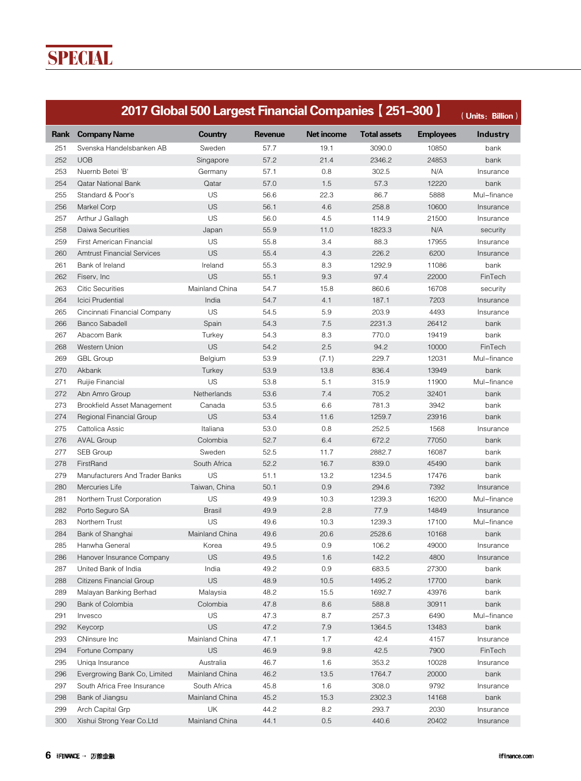**SPECIAL** 

|      | 2017 Global 500 Largest Financial Companies [251-300] |                |                |                   |                     |                  | (Units: Billion) |
|------|-------------------------------------------------------|----------------|----------------|-------------------|---------------------|------------------|------------------|
| Rank | <b>Company Name</b>                                   | Country        | <b>Revenue</b> | <b>Net income</b> | <b>Total assets</b> | <b>Employees</b> | <b>Industry</b>  |
| 251  | Svenska Handelsbanken AB                              | Sweden         | 57.7           | 19.1              | 3090.0              | 10850            | bank             |
| 252  | <b>UOB</b>                                            | Singapore      | 57.2           | 21.4              | 2346.2              | 24853            | bank             |
| 253  | Nuernb Betei 'B'                                      | Germany        | 57.1           | 0.8               | 302.5               | N/A              | Insurance        |
| 254  | <b>Qatar National Bank</b>                            | Qatar          | 57.0           | 1.5               | 57.3                | 12220            | bank             |
| 255  | Standard & Poor's                                     | <b>US</b>      | 56.6           | 22.3              | 86.7                | 5888             | Mul-finance      |
| 256  | Markel Corp                                           | <b>US</b>      | 56.1           | 4.6               | 258.8               | 10600            | Insurance        |
| 257  | Arthur J Gallagh                                      | US             | 56.0           | 4.5               | 114.9               | 21500            | Insurance        |
| 258  | Daiwa Securities                                      | Japan          | 55.9           | 11.0              | 1823.3              | N/A              | security         |
| 259  | <b>First American Financial</b>                       | US             | 55.8           | 3.4               | 88.3                | 17955            | Insurance        |
| 260  | <b>Amtrust Financial Services</b>                     | US             | 55.4           | 4.3               | 226.2               | 6200             | Insurance        |
| 261  | Bank of Ireland                                       | Ireland        | 55.3           | 8.3               | 1292.9              | 11086            | bank             |
| 262  | Fiserv, Inc.                                          | US             | 55.1           | 9.3               | 97.4                | 22000            | FinTech          |
| 263  | <b>Citic Securities</b>                               | Mainland China | 54.7           | 15.8              | 860.6               | 16708            | security         |
| 264  | Icici Prudential                                      | India          | 54.7           | 4.1               | 187.1               | 7203             | Insurance        |
| 265  | Cincinnati Financial Company                          | <b>US</b>      | 54.5           | 5.9               | 203.9               | 4493             | Insurance        |
| 266  | <b>Banco Sabadell</b>                                 | Spain          | 54.3           | 7.5               | 2231.3              | 26412            | bank             |
| 267  | Abacom Bank                                           | Turkey         | 54.3           | 8.3               | 770.0               | 19419            | bank             |
| 268  | Western Union                                         | <b>US</b>      | 54.2           | 2.5               | 94.2                | 10000            | FinTech          |
| 269  | <b>GBL Group</b>                                      | Belgium        | 53.9           | (7.1)             | 229.7               | 12031            | Mul-finance      |
| 270  | Akbank                                                | Turkey         | 53.9           | 13.8              | 836.4               | 13949            | bank             |
| 271  | Ruijie Financial                                      | US             | 53.8           | 5.1               | 315.9               | 11900            | Mul-finance      |
| 272  | Abn Amro Group                                        | Netherlands    | 53.6           | 7.4               | 705.2               | 32401            | bank             |
| 273  | Brookfield Asset Management                           | Canada         | 53.5           | 6.6               | 781.3               | 3942             | bank             |
| 274  | Regional Financial Group                              | US             | 53.4           | 11.6              | 1259.7              | 23916            | bank             |
| 275  | Cattolica Assic                                       | Italiana       | 53.0           | 0.8               | 252.5               | 1568             | Insurance        |
| 276  | <b>AVAL Group</b>                                     | Colombia       | 52.7           | 6.4               | 672.2               | 77050            | bank             |
| 277  | SEB Group                                             | Sweden         | 52.5           | 11.7              | 2882.7              | 16087            | bank             |
| 278  | FirstRand                                             | South Africa   | 52.2           | 16.7              | 839.0               | 45490            | bank             |
| 279  | Manufacturers And Trader Banks                        | US             | 51.1           | 13.2              | 1234.5              | 17476            | bank             |
| 280  | Mercuries Life                                        | Taiwan, China  | 50.1           | 0.9               | 294.6               | 7392             | Insurance        |
| 281  | Northern Trust Corporation                            | US             | 49.9           | 10.3              | 1239.3              | 16200            | Mul-finance      |
| 282  | Porto Seguro SA                                       | <b>Brasil</b>  | 49.9           | 2.8               | 77.9                | 14849            | Insurance        |
| 283  | Northern Trust                                        | US             | 49.6           | 10.3              | 1239.3              | 17100            | Mul-finance      |
| 284  | Bank of Shanghai                                      | Mainland China | 49.6           | 20.6              | 2528.6              | 10168            | bank             |
| 285  | Hanwha General                                        | Korea          | 49.5           | 0.9               | 106.2               | 49000            | Insurance        |
| 286  | Hanover Insurance Company                             | US             | 49.5           | 1.6               | 142.2               | 4800             | Insurance        |
| 287  | United Bank of India                                  | India          | 49.2           | 0.9               | 683.5               | 27300            | bank             |
| 288  | Citizens Financial Group                              | <b>US</b>      | 48.9           | 10.5              | 1495.2              | 17700            | bank             |
| 289  | Malayan Banking Berhad                                | Malaysia       | 48.2           | 15.5              | 1692.7              | 43976            | bank             |
| 290  | Bank of Colombia                                      | Colombia       | 47.8           | 8.6               | 588.8               | 30911            | bank             |
| 291  | Invesco                                               | US             | 47.3           | 8.7               | 257.3               | 6490             | Mul-finance      |
| 292  | Keycorp                                               | US             | 47.2           | 7.9               | 1364.5              | 13483            | bank             |
| 293  | CNinsure Inc                                          | Mainland China | 47.1           | 1.7               | 42.4                | 4157             | Insurance        |
| 294  | Fortune Company                                       | <b>US</b>      | 46.9           | 9.8               | 42.5                | 7900             | FinTech          |
| 295  | Uniga Insurance                                       | Australia      | 46.7           | 1.6               | 353.2               | 10028            | Insurance        |
| 296  | Evergrowing Bank Co, Limited                          | Mainland China | 46.2           | 13.5              | 1764.7              | 20000            | bank             |
| 297  | South Africa Free Insurance                           | South Africa   | 45.8           | 1.6               | 308.0               | 9792             | Insurance        |
| 298  | Bank of Jiangsu                                       | Mainland China | 45.2           | 15.3              | 2302.3              | 14168            | bank             |
| 299  | Arch Capital Grp                                      | UK             | 44.2           | 8.2               | 293.7               | 2030             | Insurance        |
|      |                                                       |                |                | 0.5               |                     |                  |                  |
| 300  | Xishui Strong Year Co.Ltd                             | Mainland China | 44.1           |                   | 440.6               | 20402            | Insurance        |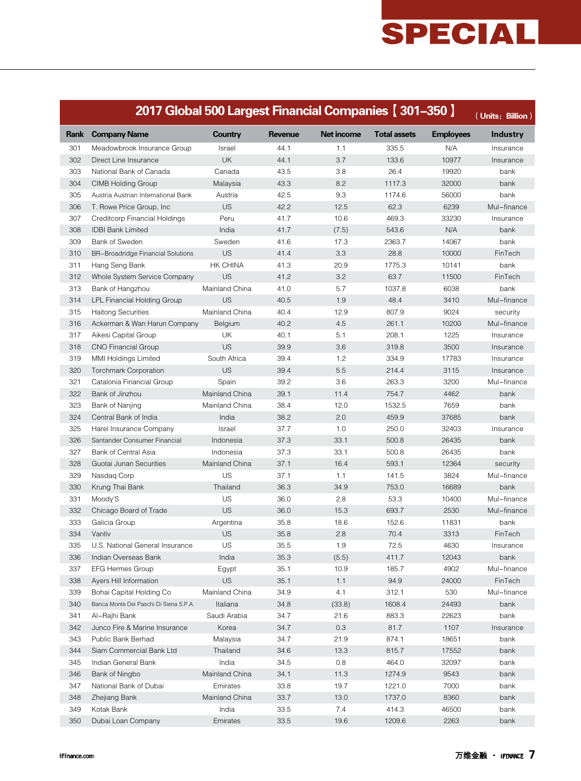|      | 2017 Global 500 Largest Financial Companies [301-350] |                 |                |                   |                     |                  | (Units: Billion) |
|------|-------------------------------------------------------|-----------------|----------------|-------------------|---------------------|------------------|------------------|
| Rank | <b>Company Name</b>                                   | <b>Country</b>  | <b>Revenue</b> | <b>Net income</b> | <b>Total assets</b> | <b>Employees</b> | <b>Industry</b>  |
| 301  | Meadowbrook Insurance Group                           | Israel          | 44.1           | 1.1               | 335.5               | N/A              | Insurance        |
| 302  | Direct Line Insurance                                 | UK              | 44.1           | 3.7               | 133.6               | 10977            | Insurance        |
| 303  | National Bank of Canada                               | Canada          | 43.5           | 3.8               | 26.4                | 19920            | bank             |
| 304  | <b>CIMB Holding Group</b>                             | Malaysia        | 43.3           | 8.2               | 1117.3              | 32000            | bank             |
| 305  | Austria Austrian International Bank                   | Austria         | 42.5           | 9.3               | 1174.6              | 56000            | bank             |
| 306  | T. Rowe Price Group, Inc.                             | <b>US</b>       | 42.2           | 12.5              | 62.3                | 6239             | Mul-finance      |
| 307  | Creditcorp Financial Holdings                         | Peru            | 41.7           | 10.6              | 469.3               | 33230            | Insurance        |
| 308  | <b>IDBI Bank Limited</b>                              | India           | 41.7           | (7.5)             | 543.6               | N/A              | bank             |
| 309  | Bank of Sweden                                        | Sweden          | 41.6           | 17.3              | 2363.7              | 14067            | bank             |
| 310  | <b>BR-Broadridge Financial Solutions</b>              | <b>US</b>       | 41.4           | 3.3               | 28.8                | 10000            | FinTech          |
| 311  | Hang Seng Bank                                        | <b>HK CHINA</b> | 41.3           | 20.9              | 1775.3              | 10141            | bank             |
| 312  | Whole System Service Company                          | <b>US</b>       | 41.2           | 3.2               | 63.7                | 11500            | FinTech          |
| 313  | Bank of Hangzhou                                      | Mainland China  | 41.0           | 5.7               | 1037.8              | 6038             | bank             |
| 314  | LPL Financial Holding Group                           | <b>US</b>       | 40.5           | 1.9               | 48.4                | 3410             | Mul-finance      |
| 315  | <b>Haitong Securities</b>                             | Mainland China  | 40.4           | 12.9              | 807.9               | 9024             | security         |
| 316  | Ackerman & Wan Harun Company                          | Belgium         | 40.2           | 4.5               | 261.1               | 10200            | Mul-finance      |
| 317  | Aikesi Capital Group                                  | UK              | 40.1           | 5.1               | 208.1               | 1225             | Insurance        |
| 318  | <b>CNO Financial Group</b>                            | <b>US</b>       | 39.9           | 3.6               | 319.8               | 3500             | Insurance        |
| 319  | <b>MMI Holdings Limited</b>                           | South Africa    | 39.4           | 1.2               | 334.9               | 17783            | Insurance        |
| 320  | <b>Torchmark Corporation</b>                          | US              | 39.4           | 5.5               | 214.4               | 3115             | Insurance        |
| 321  | Catalonia Financial Group                             | Spain           | 39.2           | 3.6               | 263.3               | 3200             | Mul-finance      |
| 322  | Bank of Jinzhou                                       | Mainland China  | 39.1           | 11.4              | 754.7               | 4462             | bank             |
| 323  | Bank of Nanjing                                       | Mainland China  | 38.4           | 12.0              | 1532.5              | 7659             | bank             |
| 324  | Central Bank of India                                 | India           | 38.2           | 2.0               | 459.9               | 37685            | bank             |
| 325  | Harel Insurance Company                               | Israel          | 37.7           | 1.0               | 250.0               | 32403            | Insurance        |
| 326  | Santander Consumer Financial                          | Indonesia       | 37.3           | 33.1              | 500.8               | 26435            | bank             |
| 327  | Bank of Central Asia                                  | Indonesia       | 37.3           | 33.1              | 500.8               | 26435            | bank             |
| 328  | Guotai Junan Securities                               | Mainland China  | 37.1           | 16.4              | 593.1               | 12364            | security         |
| 329  | Nasdag Corp                                           | US              | 37.1           | 1.1               | 141.5               | 3824             | Mul-finance      |
| 330  | Krung Thai Bank                                       | Thailand        | 36.3           | 34.9              | 753.0               | 16689            | bank             |
| 331  | Moody'S                                               | US              | 36.0           | 2.8               | 53.3                | 10400            | Mul-finance      |
| 332  | Chicago Board of Trade                                | <b>US</b>       | 36.0           | 15.3              | 693.7               | 2530             | Mul-finance      |
| 333  | Galicia Group                                         | Argentina       | 35.8           | 18.6              | 152.6               | 11831            | bank             |
| 334  | Vantiv                                                | US              | 35.8           | 2.8               | 70.4                | 3313             | FinTech          |
| 335  | U.S. National General Insurance                       | US              | 35.5           | 1.9               | 72.5                | 4630             | Insurance        |
| 336  | Indian Overseas Bank                                  | India           | 35.3           | (5.5)             | 411.7               | 12043            | bank             |
| 337  | <b>EFG Hermes Group</b>                               | Egypt           | 35.1           | 10.9              | 185.7               | 4902             | Mul-finance      |
| 338  | Ayers Hill Information                                | <b>US</b>       | 35.1           | 1.1               | 94.9                | 24000            | FinTech          |
| 339  | Bohai Capital Holding Co                              | Mainland China  | 34.9           | 4.1               | 312.1               | 530              | Mul-finance      |
| 340  | Banca Monte Dei Paschi Di Siena S.P.A.                | Italiana        | 34.8           | (33.8)            | 1608.4              | 24493            | bank             |
| 341  | Al-Rajhi Bank                                         | Saudi Arabia    | 34.7           | 21.6              | 883.3               | 22623            | bank             |
| 342  | Junco Fire & Marine Insurance                         | Korea           | 34.7           | 0.3               | 81.7                | 1107             | Insurance        |
| 343  | Public Bank Berhad                                    | Malaysia        | 34.7           | 21.9              | 874.1               | 18651            | bank             |
| 344  | Siam Commercial Bank Ltd                              | Thailand        | 34.6           | 13.3              | 815.7               | 17552            | bank             |
| 345  | Indian General Bank                                   | India           | 34.5           | 0.8               | 464.0               | 32097            | bank             |
| 346  | Bank of Ningbo                                        | Mainland China  | 34.1           | 11.3              | 1274.9              | 9543             | bank             |
| 347  | National Bank of Dubai                                | Emirates        | 33.8           | 19.7              | 1221.0              | 7000             | bank             |
| 348  | Zhejiang Bank                                         | Mainland China  | 33.7           | 13.0              | 1737.0              | 8360             | bank             |
| 349  | Kotak Bank                                            | India           | 33.5           | 7.4               | 414.3               | 46500            | bank             |
| 350  | Dubai Loan Company                                    | Emirates        | 33.5           | 19.6              | 1209.6              | 2263             | bank             |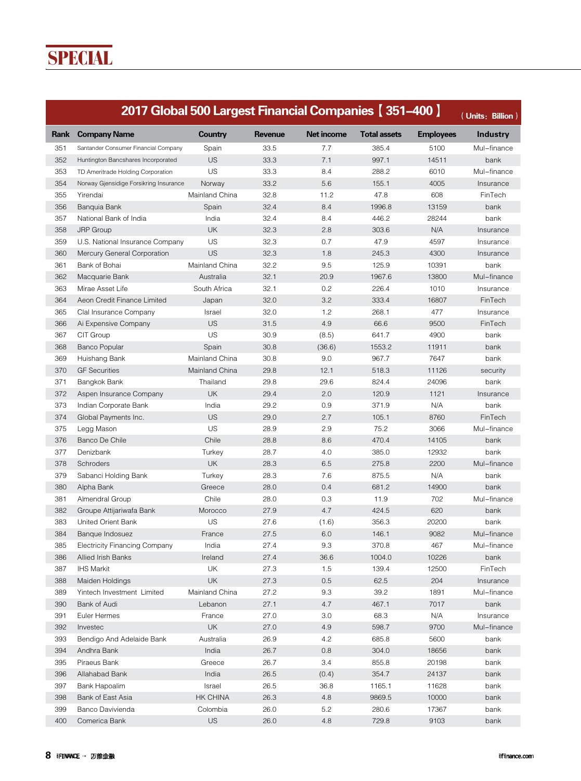**SPECIAL** 

|      | 2017 Global 500 Largest Financial Companies [351-400]   |                |         |                   |                     |                  | (Units: Billion)         |
|------|---------------------------------------------------------|----------------|---------|-------------------|---------------------|------------------|--------------------------|
| Rank | <b>Company Name</b>                                     | Country        | Revenue | <b>Net income</b> | <b>Total assets</b> | <b>Employees</b> | <b>Industry</b>          |
| 351  | Santander Consumer Financial Company                    | Spain          | 33.5    | 7.7               | 385.4               | 5100             | Mul-finance              |
| 352  | Huntington Bancshares Incorporated                      | <b>US</b>      | 33.3    | 7.1               | 997.1               | 14511            | bank                     |
| 353  | TD Ameritrade Holding Corporation                       | US             | 33.3    | 8.4               | 288.2               | 6010             | Mul-finance              |
| 354  | Norway Gjensidige Forsikring Insurance                  | Norway         | 33.2    | 5.6               | 155.1               | 4005             | Insurance                |
| 355  | Yirendai                                                | Mainland China | 32.8    | 11.2              | 47.8                | 608              | FinTech                  |
| 356  | Banguia Bank                                            | Spain          | 32.4    | 8.4               | 1996.8              | 13159            | bank                     |
| 357  | National Bank of India                                  | India          | 32.4    | 8.4               | 446.2               | 28244            | bank                     |
| 358  | <b>JRP</b> Group                                        | <b>UK</b>      | 32.3    | 2.8               | 303.6               | N/A              | Insurance                |
| 359  | U.S. National Insurance Company                         | US             | 32.3    | 0.7               | 47.9                | 4597             | Insurance                |
| 360  | Mercury General Corporation                             | <b>US</b>      | 32.3    | 1.8               | 245.3               | 4300             | Insurance                |
| 361  | Bank of Bohai                                           | Mainland China | 32.2    | 9.5               | 125.9               | 10391            | bank                     |
| 362  | Macquarie Bank                                          | Australia      | 32.1    | 20.9              | 1967.6              | 13800            | Mul-finance              |
| 363  | Mirae Asset Life                                        | South Africa   | 32.1    | 0.2               | 226.4               | 1010             | Insurance                |
| 364  | Aeon Credit Finance Limited                             | Japan          | 32.0    | 3.2               | 333.4               | 16807            | FinTech                  |
| 365  | Clal Insurance Company                                  | Israel         | 32.0    | 1.2               | 268.1               | 477              | Insurance                |
| 366  | Ai Expensive Company                                    | <b>US</b>      | 31.5    | 4.9               | 66.6                | 9500             | FinTech                  |
| 367  | CIT Group                                               | <b>US</b>      | 30.9    | (8.5)             | 641.7               | 4900             | bank                     |
| 368  | <b>Banco Popular</b>                                    | Spain          | 30.8    | (36.6)            | 1553.2              | 11911            | bank                     |
| 369  | Huishang Bank                                           | Mainland China | 30.8    | 9.0               | 967.7               | 7647             | bank                     |
| 370  | <b>GF</b> Securities                                    | Mainland China | 29.8    | 12.1              | 518.3               | 11126            | security                 |
| 371  | Bangkok Bank                                            | Thailand       | 29.8    | 29.6              | 824.4               | 24096            | bank                     |
| 372  | Aspen Insurance Company                                 | UK             | 29.4    | 2.0               | 120.9               | 1121             | Insurance                |
| 373  | Indian Corporate Bank                                   | India          | 29.2    | 0.9               | 371.9               | N/A              | bank                     |
| 374  | Global Payments Inc.                                    | <b>US</b>      | 29.0    | 2.7               | 105.1               | 8760             | FinTech                  |
| 375  | Legg Mason                                              | US             | 28.9    | 2.9               | 75.2                | 3066             | Mul-finance              |
| 376  | <b>Banco De Chile</b>                                   | Chile          | 28.8    | 8.6               | 470.4               | 14105            | bank                     |
| 377  | Denizbank                                               | Turkey         | 28.7    | 4.0               | 385.0               | 12932            | bank                     |
| 378  | Schroders                                               | <b>UK</b>      | 28.3    | 6.5               | 275.8               | 2200             | Mul-finance              |
| 379  | Sabanci Holding Bank                                    | Turkey         | 28.3    | 7.6               | 875.5               | N/A              | bank                     |
| 380  | Alpha Bank                                              | Greece         | 28.0    | 0.4               | 681.2               | 14900            | bank                     |
| 381  | Almendral Group                                         | Chile          | 28.0    | 0.3               | 11.9                | 702              | Mul-finance              |
| 382  |                                                         | Morocco        | 27.9    | 4.7               | 424.5               | 620              | bank                     |
| 383  | Groupe Attijariwafa Bank<br>United Orient Bank          | US             | 27.6    |                   | 356.3               | 20200            | bank                     |
| 384  |                                                         | France         | 27.5    | (1.6)<br>6.0      | 146.1               | 9082             | Mul-finance              |
| 385  | Banque Indosuez<br><b>Electricity Financing Company</b> | India          | 27.4    | 9.3               | 370.8               | 467              | Mul-finance              |
|      |                                                         |                | 27.4    |                   |                     | 10226            |                          |
| 386  | Allied Irish Banks<br><b>IHS Markit</b>                 | Ireland        |         | 36.6              | 1004.0              |                  | bank                     |
| 387  |                                                         | UK             | 27.3    | 1.5               | 139.4               | 12500            | FinTech                  |
| 388  | Maiden Holdings                                         | UK             | 27.3    | 0.5               | 62.5                | 204              | Insurance<br>Mul-finance |
| 389  | Yintech Investment Limited                              | Mainland China | 27.2    | 9.3               | 39.2                | 1891             |                          |
| 390  | Bank of Audi                                            | Lebanon        | 27.1    | 4.7               | 467.1               | 7017             | bank                     |
| 391  | Euler Hermes                                            | France         | 27.0    | 3.0               | 68.3                | N/A              | Insurance                |
| 392  | Investec                                                | <b>UK</b>      | 27.0    | 4.9               | 598.7               | 9700             | Mul-finance              |
| 393  | Bendigo And Adelaide Bank                               | Australia      | 26.9    | 4.2               | 685.8               | 5600             | bank                     |
| 394  | Andhra Bank                                             | India          | 26.7    | 0.8               | 304.0               | 18656            | bank                     |
| 395  | Piraeus Bank                                            | Greece         | 26.7    | 3.4               | 855.8               | 20198            | bank                     |
| 396  | Allahabad Bank                                          | India          | 26.5    | (0.4)             | 354.7               | 24137            | bank                     |
| 397  | Bank Hapoalim                                           | Israel         | 26.5    | 36.8              | 1165.1              | 11628            | bank                     |
| 398  | Bank of East Asia                                       | HK CHINA       | 26.3    | 4.8               | 9869.5              | 10000            | bank                     |
| 399  | Banco Davivienda                                        | Colombia       | 26.0    | 5.2               | 280.6               | 17367            | bank                     |
| 400  | Comerica Bank                                           | US             | 26.0    | 4.8               | 729.8               | 9103             | bank                     |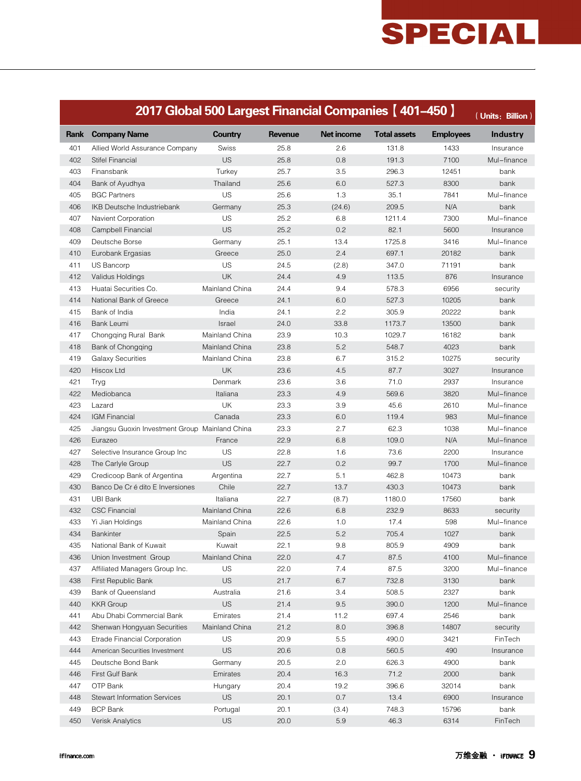|      | 2017 Global 500 Largest Financial Companies [401-450]<br>(Units: Billion) |                |                |                   |                     |                  |                 |  |  |
|------|---------------------------------------------------------------------------|----------------|----------------|-------------------|---------------------|------------------|-----------------|--|--|
| Rank | <b>Company Name</b>                                                       | <b>Country</b> | <b>Revenue</b> | <b>Net income</b> | <b>Total assets</b> | <b>Employees</b> | <b>Industry</b> |  |  |
| 401  | Allied World Assurance Company                                            | Swiss          | 25.8           | 2.6               | 131.8               | 1433             | Insurance       |  |  |
| 402  | Stifel Financial                                                          | US             | 25.8           | 0.8               | 191.3               | 7100             | Mul-finance     |  |  |
| 403  | Finansbank                                                                | Turkey         | 25.7           | 3.5               | 296.3               | 12451            | bank            |  |  |
| 404  | Bank of Ayudhya                                                           | Thailand       | 25.6           | 6.0               | 527.3               | 8300             | bank            |  |  |
| 405  | <b>BGC Partners</b>                                                       | US             | 25.6           | 1.3               | 35.1                | 7841             | Mul-finance     |  |  |
| 406  | IKB Deutsche Industriebank                                                | Germany        | 25.3           | (24.6)            | 209.5               | N/A              | bank            |  |  |
| 407  | <b>Navient Corporation</b>                                                | US             | 25.2           | 6.8               | 1211.4              | 7300             | Mul-finance     |  |  |
| 408  | Campbell Financial                                                        | US             | 25.2           | 0.2               | 82.1                | 5600             | Insurance       |  |  |
| 409  | Deutsche Borse                                                            | Germany        | 25.1           | 13.4              | 1725.8              | 3416             | Mul-finance     |  |  |
| 410  | Eurobank Ergasias                                                         | Greece         | 25.0           | 2.4               | 697.1               | 20182            | bank            |  |  |
| 411  | US Bancorp                                                                | US             | 24.5           | (2.8)             | 347.0               | 71191            | bank            |  |  |
| 412  | Validus Holdings                                                          | <b>UK</b>      | 24.4           | 4.9               | 113.5               | 876              | Insurance       |  |  |
| 413  | Huatai Securities Co.                                                     | Mainland China | 24.4           | 9.4               | 578.3               | 6956             | security        |  |  |
| 414  | National Bank of Greece                                                   | Greece         | 24.1           | 6.0               | 527.3               | 10205            | bank            |  |  |
| 415  | Bank of India                                                             | India          | 24.1           | 2.2               | 305.9               | 20222            | bank            |  |  |
| 416  | <b>Bank Leumi</b>                                                         | Israel         | 24.0           | 33.8              | 1173.7              | 13500            | bank            |  |  |
| 417  | Chongging Rural Bank                                                      | Mainland China | 23.9           | 10.3              | 1029.7              | 16182            | bank            |  |  |
| 418  | Bank of Chongqing                                                         | Mainland China | 23.8           | 5.2               | 548.7               | 4023             | bank            |  |  |
| 419  | <b>Galaxy Securities</b>                                                  | Mainland China | 23.8           | 6.7               | 315.2               | 10275            | security        |  |  |
| 420  | Hiscox Ltd                                                                | <b>UK</b>      | 23.6           | 4.5               | 87.7                | 3027             | Insurance       |  |  |
| 421  | Tryg                                                                      | Denmark        | 23.6           | 3.6               | 71.0                | 2937             | Insurance       |  |  |
| 422  | Mediobanca                                                                | Italiana       | 23.3           | 4.9               | 569.6               | 3820             | Mul-finance     |  |  |
| 423  | Lazard                                                                    | <b>UK</b>      | 23.3           | 3.9               | 45.6                | 2610             | Mul-finance     |  |  |
| 424  | <b>IGM Financial</b>                                                      | Canada         | 23.3           | 6.0               | 119.4               | 983              | Mul-finance     |  |  |
| 425  | Jiangsu Guoxin Investment Group Mainland China                            |                | 23.3           | 2.7               | 62.3                | 1038             | Mul-finance     |  |  |
| 426  | Eurazeo                                                                   | France         | 22.9           | 6.8               | 109.0               | N/A              | Mul-finance     |  |  |
| 427  | Selective Insurance Group Inc                                             | US             | 22.8           | 1.6               | 73.6                | 2200             | Insurance       |  |  |
| 428  | The Carlyle Group                                                         | <b>US</b>      | 22.7           | 0.2               | 99.7                | 1700             | Mul-finance     |  |  |
| 429  | Credicoop Bank of Argentina                                               | Argentina      | 22.7           | 5.1               | 462.8               | 10473            | bank            |  |  |
| 430  | Banco De Cr é dito E Inversiones                                          | Chile          | 22.7           | 13.7              | 430.3               | 10473            | bank            |  |  |
| 431  | UBI Bank                                                                  | Italiana       | 22.7           | (8.7)             | 1180.0              | 17560            | bank            |  |  |
| 432  | CSC Financial                                                             | Mainland China | 22.6           | 6.8               | 232.9               | 8633             | security        |  |  |
| 433  | Yi Jian Holdings                                                          | Mainland China | 22.6           | 1.0               | 17.4                | 598              | Mul-finance     |  |  |
| 434  | <b>Bankinter</b>                                                          | Spain          | 22.5           | 5.2               | 705.4               | 1027             | bank            |  |  |
| 435  | National Bank of Kuwait                                                   | Kuwait         | 22.1           | 9.8               | 805.9               | 4909             | bank            |  |  |
| 436  | Union Investment Group                                                    | Mainland China | 22.0           | 4.7               | 87.5                | 4100             | Mul-finance     |  |  |
| 437  | Affiliated Managers Group Inc.                                            | US             | 22.0           | 7.4               | 87.5                | 3200             | Mul-finance     |  |  |
| 438  | First Republic Bank                                                       | <b>US</b>      | 21.7           | 6.7               | 732.8               | 3130             | bank            |  |  |
| 439  | Bank of Queensland                                                        | Australia      | 21.6           | 3.4               | 508.5               | 2327             | bank            |  |  |
| 440  | <b>KKR</b> Group                                                          | <b>US</b>      | 21.4           | 9.5               | 390.0               | 1200             | Mul-finance     |  |  |
| 441  | Abu Dhabi Commercial Bank                                                 | Emirates       | 21.4           | 11.2              | 697.4               | 2546             | bank            |  |  |
| 442  | Shenwan Hongyuan Securities                                               | Mainland China | 21.2           | 8.0               | 396.8               | 14807            | security        |  |  |
| 443  | Etrade Financial Corporation                                              | US             | 20.9           | 5.5               | 490.0               | 3421             | FinTech         |  |  |
| 444  | American Securities Investment                                            | US             | 20.6           | 0.8               | 560.5               | 490              | Insurance       |  |  |
| 445  | Deutsche Bond Bank                                                        | Germany        | 20.5           | 2.0               | 626.3               | 4900             | bank            |  |  |
| 446  | First Gulf Bank                                                           | Emirates       | 20.4           | 16.3              | 71.2                | 2000             | bank            |  |  |
| 447  | OTP Bank                                                                  | Hungary        | 20.4           | 19.2              | 396.6               | 32014            | bank            |  |  |
| 448  | <b>Stewart Information Services</b>                                       | <b>US</b>      | 20.1           | 0.7               | 13.4                | 6900             | Insurance       |  |  |
| 449  | <b>BCP Bank</b>                                                           | Portugal       | 20.1           | (3.4)             | 748.3               | 15796            | bank            |  |  |
| 450  | Verisk Analytics                                                          | US             | 20.0           | 5.9               | 46.3                | 6314             | FinTech         |  |  |